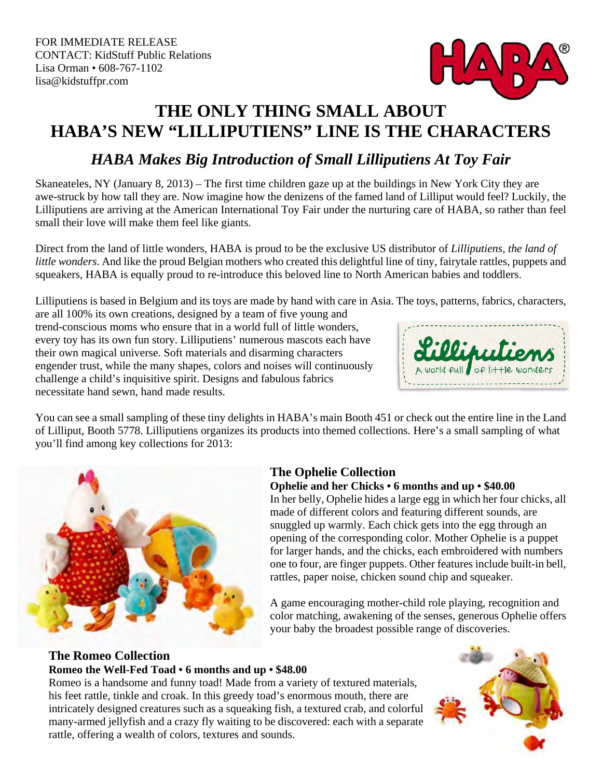

## **THE ONLY THING SMALL ABOUT HABA'S NEW "LILLIPUTIENS" LINE IS THE CHARACTERS**

## *HABA Makes Big Introduction of Small Lilliputiens At Toy Fair*

Skaneateles, NY (January 8, 2013) – The first time children gaze up at the buildings in New York City they are awe-struck by how tall they are. Now imagine how the denizens of the famed land of Lilliput would feel? Luckily, the Lilliputiens are arriving at the American International Toy Fair under the nurturing care of HABA, so rather than feel small their love will make them feel like giants.

Direct from the land of little wonders, HABA is proud to be the exclusive US distributor of *Lilliputiens, the land of little wonders*. And like the proud Belgian mothers who created this delightful line of tiny, fairytale rattles, puppets and squeakers, HABA is equally proud to re-introduce this beloved line to North American babies and toddlers.

Lilliputiens is based in Belgium and its toys are made by hand with care in Asia. The toys, patterns, fabrics, characters,

are all 100% its own creations, designed by a team of five young and trend-conscious moms who ensure that in a world full of little wonders, every toy has its own fun story. Lilliputiens' numerous mascots each have their own magical universe. Soft materials and disarming characters engender trust, while the many shapes, colors and noises will continuously challenge a child's inquisitive spirit. Designs and fabulous fabrics necessitate hand sewn, hand made results.



You can see a small sampling of these tiny delights in HABA's main Booth 451 or check out the entire line in the Land of Lilliput, Booth 5778. Lilliputiens organizes its products into themed collections. Here's a small sampling of what you'll find among key collections for 2013:



## **The Ophelie Collection**

#### **Ophelie and her Chicks • 6 months and up • \$40.00**

In her belly, Ophelie hides a large egg in which her four chicks, all made of different colors and featuring different sounds, are snuggled up warmly. Each chick gets into the egg through an opening of the corresponding color. Mother Ophelie is a puppet for larger hands, and the chicks, each embroidered with numbers one to four, are finger puppets. Other features include built-in bell, rattles, paper noise, chicken sound chip and squeaker.

A game encouraging mother-child role playing, recognition and color matching, awakening of the senses, generous Ophelie offers your baby the broadest possible range of discoveries.

### **The Romeo Collection Romeo the Well-Fed Toad • 6 months and up • \$48.00**

Romeo is a handsome and funny toad! Made from a variety of textured materials, his feet rattle, tinkle and croak. In this greedy toad's enormous mouth, there are intricately designed creatures such as a squeaking fish, a textured crab, and colorful many-armed jellyfish and a crazy fly waiting to be discovered: each with a separate rattle, offering a wealth of colors, textures and sounds.